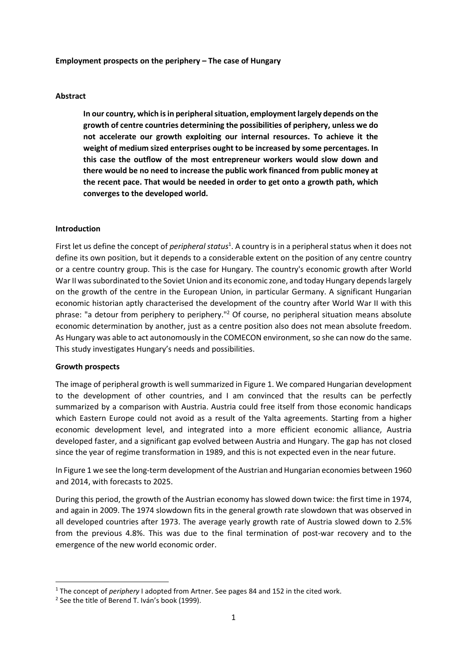#### **Employment prospects on the periphery – The case of Hungary**

## **Abstract**

**In our country, which is in peripheral situation, employment largely depends on the growth of centre countries determining the possibilities of periphery, unless we do not accelerate our growth exploiting our internal resources. To achieve it the weight of medium sized enterprises ought to be increased by some percentages. In this case the outflow of the most entrepreneur workers would slow down and there would be no need to increase the public work financed from public money at the recent pace. That would be needed in order to get onto a growth path, which converges to the developed world.** 

#### **Introduction**

First let us define the concept of *peripheral status*<sup>1</sup>. A country is in a peripheral status when it does not define its own position, but it depends to a considerable extent on the position of any centre country or a centre country group. This is the case for Hungary. The country's economic growth after World War II was subordinated to the Soviet Union and its economic zone, and today Hungary depends largely on the growth of the centre in the European Union, in particular Germany. A significant Hungarian economic historian aptly characterised the development of the country after World War II with this phrase: "a detour from periphery to periphery."<sup>2</sup> Of course, no peripheral situation means absolute economic determination by another, just as a centre position also does not mean absolute freedom. As Hungary was able to act autonomously in the COMECON environment, so she can now do the same. This study investigates Hungary's needs and possibilities.

#### **Growth prospects**

The image of peripheral growth is well summarized in Figure 1. We compared Hungarian development to the development of other countries, and I am convinced that the results can be perfectly summarized by a comparison with Austria. Austria could free itself from those economic handicaps which Eastern Europe could not avoid as a result of the Yalta agreements. Starting from a higher economic development level, and integrated into a more efficient economic alliance, Austria developed faster, and a significant gap evolved between Austria and Hungary. The gap has not closed since the year of regime transformation in 1989, and this is not expected even in the near future.

In Figure 1 we see the long-term development of the Austrian and Hungarian economies between 1960 and 2014, with forecasts to 2025.

During this period, the growth of the Austrian economy has slowed down twice: the first time in 1974, and again in 2009. The 1974 slowdown fits in the general growth rate slowdown that was observed in all developed countries after 1973. The average yearly growth rate of Austria slowed down to 2.5% from the previous 4.8%. This was due to the final termination of post-war recovery and to the emergence of the new world economic order.

<sup>&</sup>lt;sup>1</sup> The concept of *periphery* I adopted from Artner. See pages 84 and 152 in the cited work.

 $2$  See the title of Berend T. Iván's book (1999).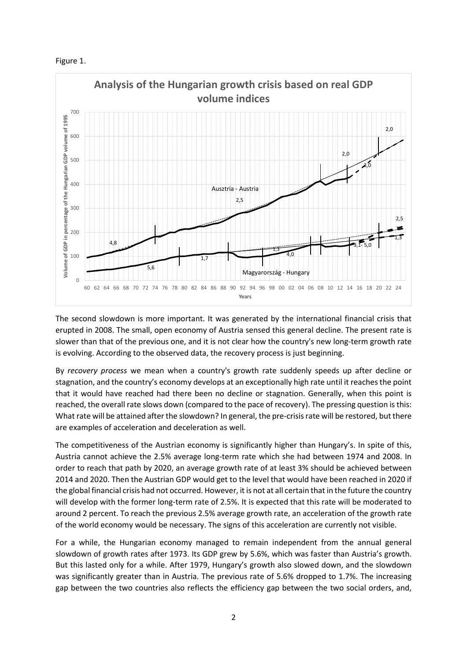



The second slowdown is more important. It was generated by the international financial crisis that erupted in 2008. The small, open economy of Austria sensed this general decline. The present rate is slower than that of the previous one, and it is not clear how the country's new long-term growth rate is evolving. According to the observed data, the recovery process is just beginning.

By *recovery process* we mean when a country's growth rate suddenly speeds up after decline or stagnation, and the country's economy develops at an exceptionally high rate until it reaches the point that it would have reached had there been no decline or stagnation. Generally, when this point is reached, the overall rate slows down (compared to the pace of recovery). The pressing question is this: What rate will be attained after the slowdown? In general, the pre-crisis rate will be restored, but there are examples of acceleration and deceleration as well.

The competitiveness of the Austrian economy is significantly higher than Hungary's. In spite of this, Austria cannot achieve the 2.5% average long-term rate which she had between 1974 and 2008. In order to reach that path by 2020, an average growth rate of at least 3% should be achieved between 2014 and 2020. Then the Austrian GDP would get to the level that would have been reached in 2020 if the global financial crisis had not occurred. However, it is not at all certain that in the future the country will develop with the former long-term rate of 2.5%. It is expected that this rate will be moderated to around 2 percent. To reach the previous 2.5% average growth rate, an acceleration of the growth rate of the world economy would be necessary. The signs of this acceleration are currently not visible.

For a while, the Hungarian economy managed to remain independent from the annual general slowdown of growth rates after 1973. Its GDP grew by 5.6%, which was faster than Austria's growth. But this lasted only for a while. After 1979, Hungary's growth also slowed down, and the slowdown was significantly greater than in Austria. The previous rate of 5.6% dropped to 1.7%. The increasing gap between the two countries also reflects the efficiency gap between the two social orders, and,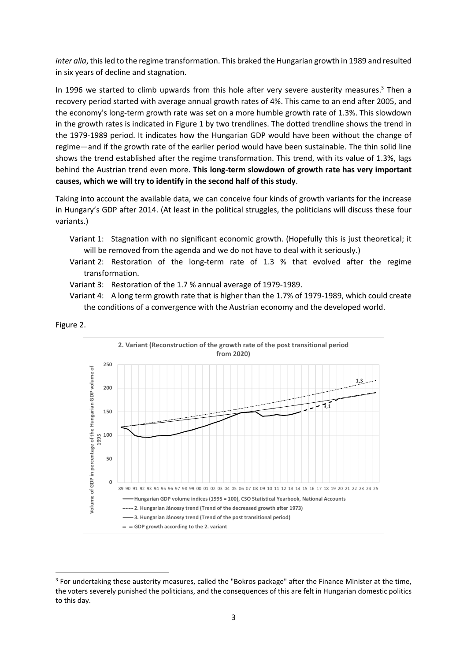*inter alia*, this led to the regime transformation. This braked the Hungarian growth in 1989 and resulted in six years of decline and stagnation.

In 1996 we started to climb upwards from this hole after very severe austerity measures. $3$  Then a recovery period started with average annual growth rates of 4%. This came to an end after 2005, and the economy's long-term growth rate was set on a more humble growth rate of 1.3%. This slowdown in the growth rates is indicated in Figure 1 by two trendlines. The dotted trendline shows the trend in the 1979-1989 period. It indicates how the Hungarian GDP would have been without the change of regime—and if the growth rate of the earlier period would have been sustainable. The thin solid line shows the trend established after the regime transformation. This trend, with its value of 1.3%, lags behind the Austrian trend even more. **This long-term slowdown of growth rate has very important causes, which we will try to identify in the second half of this study**.

Taking into account the available data, we can conceive four kinds of growth variants for the increase in Hungary's GDP after 2014. (At least in the political struggles, the politicians will discuss these four variants.)

- Variant 1: Stagnation with no significant economic growth. (Hopefully this is just theoretical; it will be removed from the agenda and we do not have to deal with it seriously.)
- Variant 2: Restoration of the long-term rate of 1.3 % that evolved after the regime transformation.
- Variant 3: Restoration of the 1.7 % annual average of 1979-1989.
- Variant 4: A long term growth rate that is higher than the 1.7% of 1979-1989, which could create the conditions of a convergence with the Austrian economy and the developed world.





<sup>&</sup>lt;sup>3</sup> For undertaking these austerity measures, called the "Bokros package" after the Finance Minister at the time, the voters severely punished the politicians, and the consequences of this are felt in Hungarian domestic politics to this day.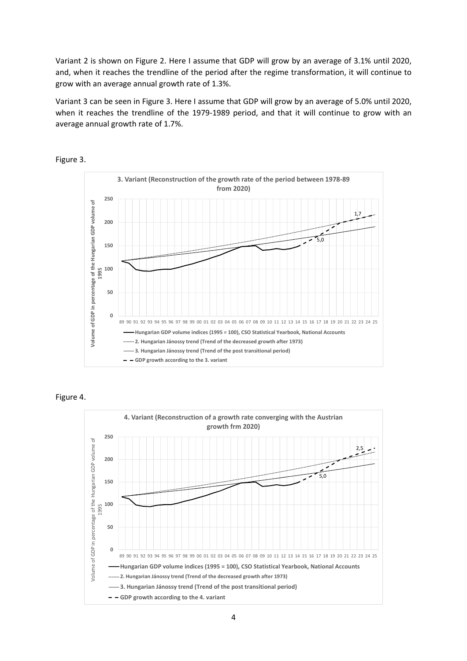Variant 2 is shown on Figure 2. Here I assume that GDP will grow by an average of 3.1% until 2020, and, when it reaches the trendline of the period after the regime transformation, it will continue to grow with an average annual growth rate of 1.3%.

Variant 3 can be seen in Figure 3. Here I assume that GDP will grow by an average of 5.0% until 2020, when it reaches the trendline of the 1979-1989 period, and that it will continue to grow with an average annual growth rate of 1.7%.



Figure 3.



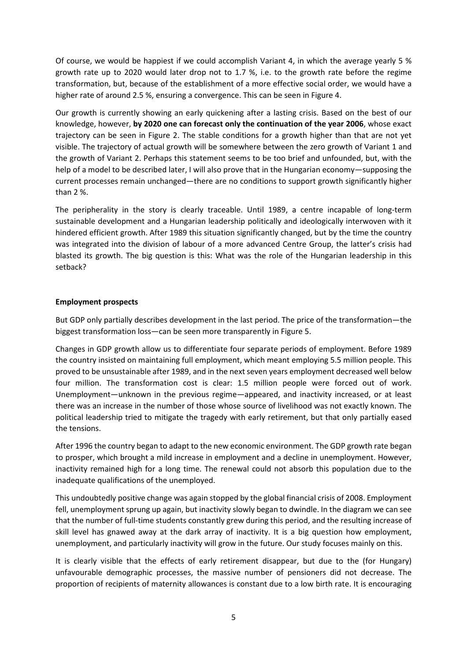Of course, we would be happiest if we could accomplish Variant 4, in which the average yearly 5 % growth rate up to 2020 would later drop not to 1.7 %, i.e. to the growth rate before the regime transformation, but, because of the establishment of a more effective social order, we would have a higher rate of around 2.5 %, ensuring a convergence. This can be seen in Figure 4.

Our growth is currently showing an early quickening after a lasting crisis. Based on the best of our knowledge, however, **by 2020 one can forecast only the continuation of the year 2006**, whose exact trajectory can be seen in Figure 2. The stable conditions for a growth higher than that are not yet visible. The trajectory of actual growth will be somewhere between the zero growth of Variant 1 and the growth of Variant 2. Perhaps this statement seems to be too brief and unfounded, but, with the help of a model to be described later, I will also prove that in the Hungarian economy—supposing the current processes remain unchanged—there are no conditions to support growth significantly higher than 2 %.

The peripherality in the story is clearly traceable. Until 1989, a centre incapable of long-term sustainable development and a Hungarian leadership politically and ideologically interwoven with it hindered efficient growth. After 1989 this situation significantly changed, but by the time the country was integrated into the division of labour of a more advanced Centre Group, the latter's crisis had blasted its growth. The big question is this: What was the role of the Hungarian leadership in this setback?

# **Employment prospects**

But GDP only partially describes development in the last period. The price of the transformation—the biggest transformation loss—can be seen more transparently in Figure 5.

Changes in GDP growth allow us to differentiate four separate periods of employment. Before 1989 the country insisted on maintaining full employment, which meant employing 5.5 million people. This proved to be unsustainable after 1989, and in the next seven years employment decreased well below four million. The transformation cost is clear: 1.5 million people were forced out of work. Unemployment—unknown in the previous regime—appeared, and inactivity increased, or at least there was an increase in the number of those whose source of livelihood was not exactly known. The political leadership tried to mitigate the tragedy with early retirement, but that only partially eased the tensions.

After 1996 the country began to adapt to the new economic environment. The GDP growth rate began to prosper, which brought a mild increase in employment and a decline in unemployment. However, inactivity remained high for a long time. The renewal could not absorb this population due to the inadequate qualifications of the unemployed.

This undoubtedly positive change was again stopped by the global financial crisis of 2008. Employment fell, unemployment sprung up again, but inactivity slowly began to dwindle. In the diagram we can see that the number of full-time students constantly grew during this period, and the resulting increase of skill level has gnawed away at the dark array of inactivity. It is a big question how employment, unemployment, and particularly inactivity will grow in the future. Our study focuses mainly on this.

It is clearly visible that the effects of early retirement disappear, but due to the (for Hungary) unfavourable demographic processes, the massive number of pensioners did not decrease. The proportion of recipients of maternity allowances is constant due to a low birth rate. It is encouraging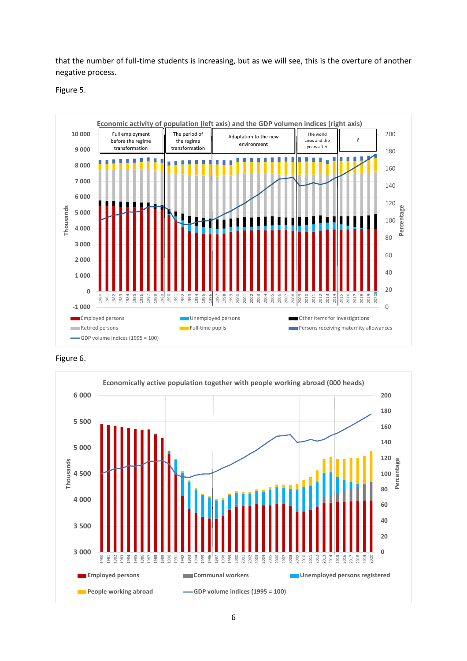that the number of full-time students is increasing, but as we will see, this is the overture of another negative process.

Figure 5.



Figure 6.

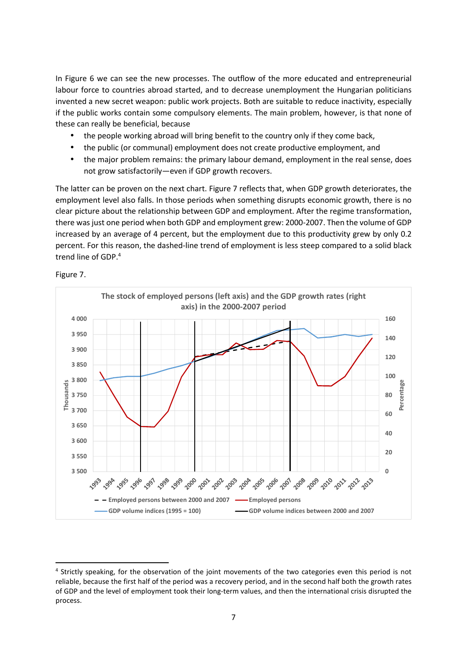In Figure 6 we can see the new processes. The outflow of the more educated and entrepreneurial labour force to countries abroad started, and to decrease unemployment the Hungarian politicians invented a new secret weapon: public work projects. Both are suitable to reduce inactivity, especially if the public works contain some compulsory elements. The main problem, however, is that none of these can really be beneficial, because

- the people working abroad will bring benefit to the country only if they come back,
- the public (or communal) employment does not create productive employment, and
- the major problem remains: the primary labour demand, employment in the real sense, does not grow satisfactorily—even if GDP growth recovers.

The latter can be proven on the next chart. Figure 7 reflects that, when GDP growth deteriorates, the employment level also falls. In those periods when something disrupts economic growth, there is no clear picture about the relationship between GDP and employment. After the regime transformation, there was just one period when both GDP and employment grew: 2000-2007. Then the volume of GDP increased by an average of 4 percent, but the employment due to this productivity grew by only 0.2 percent. For this reason, the dashed-line trend of employment is less steep compared to a solid black trend line of GDP.<sup>4</sup>





<sup>&</sup>lt;sup>4</sup> Strictly speaking, for the observation of the joint movements of the two categories even this period is not reliable, because the first half of the period was a recovery period, and in the second half both the growth rates of GDP and the level of employment took their long-term values, and then the international crisis disrupted the process.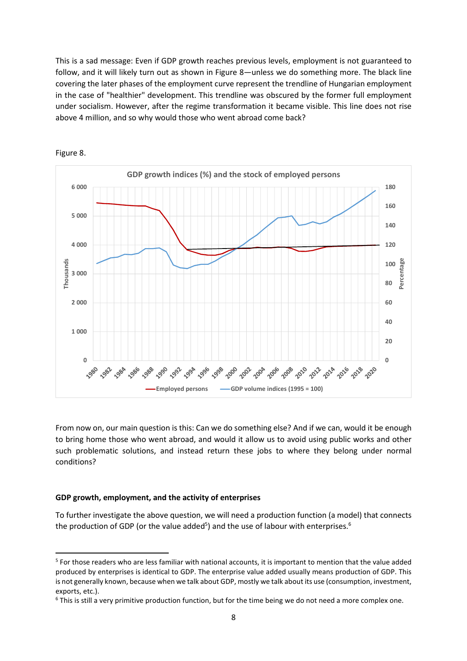This is a sad message: Even if GDP growth reaches previous levels, employment is not guaranteed to follow, and it will likely turn out as shown in Figure 8—unless we do something more. The black line covering the later phases of the employment curve represent the trendline of Hungarian employment in the case of "healthier" development. This trendline was obscured by the former full employment under socialism. However, after the regime transformation it became visible. This line does not rise above 4 million, and so why would those who went abroad come back?



Figure 8.

From now on, our main question is this: Can we do something else? And if we can, would it be enough to bring home those who went abroad, and would it allow us to avoid using public works and other such problematic solutions, and instead return these jobs to where they belong under normal conditions?

## **GDP growth, employment, and the activity of enterprises**

To further investigate the above question, we will need a production function (a model) that connects the production of GDP (or the value added<sup>5</sup>) and the use of labour with enterprises.<sup>6</sup>

<sup>&</sup>lt;sup>5</sup> For those readers who are less familiar with national accounts, it is important to mention that the value added produced by enterprises is identical to GDP. The enterprise value added usually means production of GDP. This is not generally known, because when we talk about GDP, mostly we talk about its use (consumption, investment, exports, etc.).

 $6$  This is still a very primitive production function, but for the time being we do not need a more complex one.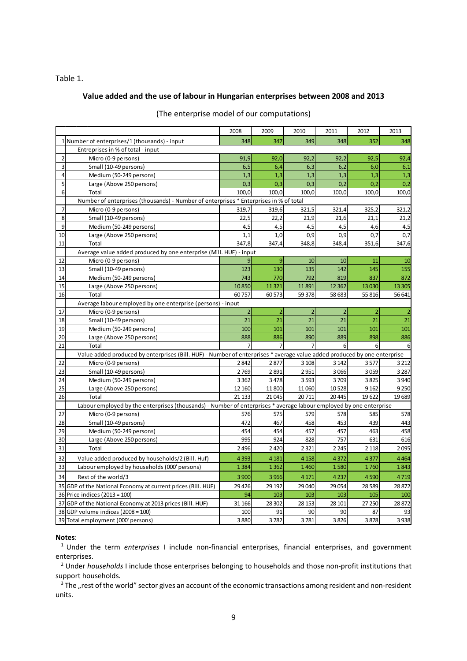## Table 1.

## **Value added and the use of labour in Hungarian enterprises between 2008 and 2013**

|                |                                                                                                                          | 2008           | 2009           | 2010           | 2011           | 2012             | 2013    |
|----------------|--------------------------------------------------------------------------------------------------------------------------|----------------|----------------|----------------|----------------|------------------|---------|
|                | 1 Number of enterprises/1 (thousands) - input                                                                            | 348            | 347            | 349            | 348            | 352              | 348     |
|                | Entreprises in % of total - input                                                                                        |                |                |                |                |                  |         |
| $\overline{2}$ | Micro (0-9 persons)                                                                                                      | 91,9           | 92,0           | 92,2           | 92,2           | 92,5             | 92,4    |
| 3              | Small (10-49 persons)                                                                                                    | 6, 5           | 6.4            | 6,3            | 6,2            | 6.0              | 6,1     |
| 4              | Medium (50-249 persons)                                                                                                  | 1,3            | 1,3            | 1,3            | 1,3            | 1,3              | 1,3     |
| 5              | Large (Above 250 persons)                                                                                                | 0,3            | 0,3            | 0,3            | 0,2            | 0,2              | 0,2     |
| 6              | Total                                                                                                                    | 100,0          | 100,0          | 100,0          | 100,0          | 100,0            | 100,0   |
|                | Number of enterprises (thousands) - Number of enterprises * Enterprises in % of total                                    |                |                |                |                |                  |         |
| 7              | Micro (0-9 persons)                                                                                                      | 319,7          | 319,6          | 321,5          | 321,4          | 325,2            | 321,2   |
| 8              | Small (10-49 persons)                                                                                                    | 22.5           | 22,2           | 21,9           | 21,6           | 21.1             | 21,2    |
| 9              | Medium (50-249 persons)                                                                                                  | 4,5            | 4,5            | 4,5            | 4,5            | 4,6              | 4,5     |
| 10             | Large (Above 250 persons)                                                                                                | 1,1            | 1,0            | 0,9            | 0,9            | 0,7              | 0,7     |
| 11             | Total                                                                                                                    | 347,8          | 347,4          | 348,8          | 348,4          | 351,6            | 347,6   |
|                | Average value added produced by one enterprise (Mill. HUF) - input                                                       |                |                |                |                |                  |         |
| 12             | Micro (0-9 persons)                                                                                                      | 9              | 9              | 10             | 10             | 11               | 10      |
| 13             | Small (10-49 persons)                                                                                                    | 123            | 130            | 135            | 142            | 145              | 155     |
| 14             | Medium (50-249 persons)                                                                                                  | 743            | 770            | 792            | 819            | 837              | 872     |
| 15             | Large (Above 250 persons)                                                                                                | 10850          | 11 3 21        | 11891          | 12 3 62        | 13 0 30          | 13 3 05 |
| 16             | Total                                                                                                                    | 60757          | 60 573         | 59 378         | 58 683         | 55 816           | 56 641  |
|                | Average labour employed by one enterprise (persons) - input                                                              |                |                |                |                |                  |         |
| 17             | Micro (0-9 persons)                                                                                                      | $\overline{2}$ | $\overline{2}$ | $\overline{2}$ | $\overline{2}$ | $\overline{2}$   |         |
| 18             | Small (10-49 persons)                                                                                                    | 21             | 21             | 21             | 21             | 21               | 21      |
| 19             | Medium (50-249 persons)                                                                                                  | 100            | 101            | 101            | 101            | 101              | 101     |
| 20             | Large (Above 250 persons)                                                                                                | 888            | 886            | 890            | 889            | 898              | 886     |
| 21             | Total                                                                                                                    | 7              | $\overline{7}$ |                | 6 <sup>1</sup> | $6 \overline{6}$ | 6       |
|                | Value added produced by enterprises (Bill. HUF) - Number of enterprises * average value added produced by one enterprise |                |                |                |                |                  |         |
| 22             | Micro (0-9 persons)                                                                                                      | 2842           | 2877           | 3 1 0 8        | 3 1 4 2        | 3577             | 3 2 1 2 |
| 23             | Small (10-49 persons)                                                                                                    | 2769           | 2891           | 2951           | 3066           | 3059             | 3 2 8 7 |
| 24             | Medium (50-249 persons)                                                                                                  | 3 3 6 2        | 3 4 7 8        | 3593           | 3709           | 3825             | 3940    |
| 25             | Large (Above 250 persons)                                                                                                | 12 160         | 11 800         | 11 060         | 10528          | 9 1 6 2          | 9 2 5 0 |
| 26             | Total                                                                                                                    | 21 133         | 21 0 45        | 20711          | 20 4 45        | 19622            | 19689   |
|                | Labour employed by the enterprises (thousands) - Number of enterprises * average labour employed by one enterprise       |                |                |                |                |                  |         |
| 27             | Micro (0-9 persons)                                                                                                      | 576            | 575            | 579            | 578            | 585              | 578     |
| 28             | Small (10-49 persons)                                                                                                    | 472            | 467            | 458            | 453            | 439              | 443     |
| 29             | Medium (50-249 persons)                                                                                                  | 454            | 454            | 457            | 457            | 463              | 458     |
| 30             | Large (Above 250 persons)                                                                                                | 995            | 924            | 828            | 757            | 631              | 616     |
| 31             | Total                                                                                                                    | 2 4 9 6        | 2 4 2 0        | 2 3 2 1        | 2 2 4 5        | 2 1 1 8          | 2095    |
| 32             | Value added produced by households/2 (Bill. Huf)                                                                         | 4 3 9 3        | 4 1 8 1        | 4 1 5 8        | 4372           | 4377             | 4464    |
| 33             | Labour employed by households (000' persons)                                                                             | 1384           | 1 3 6 2        | 1460           | 1580           | 1760             | 1843    |
| 34             | Rest of the world/3                                                                                                      | 3 900          | 3 9 6 6        | 4 1 7 1        | 4 2 3 7        | 4590             | 4719    |
| 35             | GDP of the National Economy at current prices (Bill. HUF)                                                                | 29 4 26        | 29 19 2        | 29 040         | 29 0 54        | 28 5 89          | 28872   |
|                | 36 Price indices (2013 = 100)                                                                                            | 94             | 103            | 103            | 103            | 105              | 100     |
|                | 37 GDP of the National Economy at 2013 prices (Bill. HUF)                                                                | 31 166         | 28 30 2        | 28 153         | 28 10 1        | 27 250           | 28872   |
|                | 38 GDP volume indices $(2008 = 100)$                                                                                     | 100            | 91             | 90             | 90             | 87               | 93      |
|                | 39 Total employment (000' persons)                                                                                       | 3880           | 3782           | 3781           | 3826           | 3878             | 3938    |

#### (The enterprise model of our computations)

#### **Notes**:

<sup>1</sup>Under the term *enterprises* I include non-financial enterprises, financial enterprises, and government enterprises.

2 Under *households* I include those enterprises belonging to households and those non-profit institutions that support households.

 $3$  The "rest of the world" sector gives an account of the economic transactions among resident and non-resident units.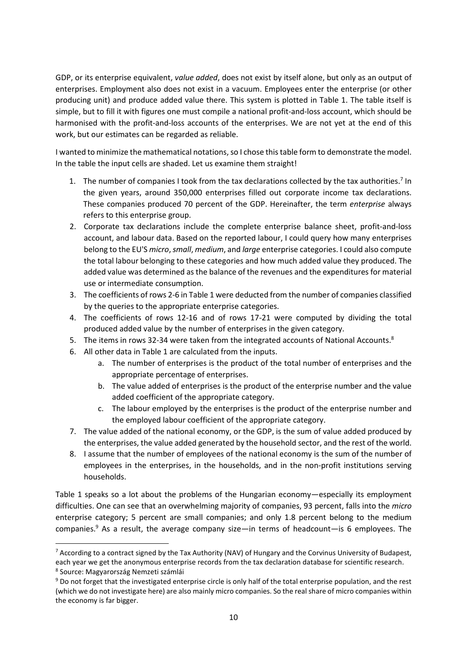GDP, or its enterprise equivalent, *value added*, does not exist by itself alone, but only as an output of enterprises. Employment also does not exist in a vacuum. Employees enter the enterprise (or other producing unit) and produce added value there. This system is plotted in Table 1. The table itself is simple, but to fill it with figures one must compile a national profit-and-loss account, which should be harmonised with the profit-and-loss accounts of the enterprises. We are not yet at the end of this work, but our estimates can be regarded as reliable.

I wanted to minimize the mathematical notations, so I chose this table form to demonstrate the model. In the table the input cells are shaded. Let us examine them straight!

- 1. The number of companies I took from the tax declarations collected by the tax authorities.<sup>7</sup> In the given years, around 350,000 enterprises filled out corporate income tax declarations. These companies produced 70 percent of the GDP. Hereinafter, the term *enterprise* always refers to this enterprise group.
- 2. Corporate tax declarations include the complete enterprise balance sheet, profit-and-loss account, and labour data. Based on the reported labour, I could query how many enterprises belong to the EU'S *micro*, *small*, *medium*, and *large* enterprise categories. I could also compute the total labour belonging to these categories and how much added value they produced. The added value was determined as the balance of the revenues and the expenditures for material use or intermediate consumption.
- 3. The coefficients of rows 2-6 in Table 1 were deducted from the number of companies classified by the queries to the appropriate enterprise categories.
- 4. The coefficients of rows 12-16 and of rows 17-21 were computed by dividing the total produced added value by the number of enterprises in the given category.
- 5. The items in rows 32-34 were taken from the integrated accounts of National Accounts.<sup>8</sup>
- 6. All other data in Table 1 are calculated from the inputs.
	- a. The number of enterprises is the product of the total number of enterprises and the appropriate percentage of enterprises.
	- b. The value added of enterprises is the product of the enterprise number and the value added coefficient of the appropriate category.
	- c. The labour employed by the enterprises is the product of the enterprise number and the employed labour coefficient of the appropriate category.
- 7. The value added of the national economy, or the GDP, is the sum of value added produced by the enterprises, the value added generated by the household sector, and the rest of the world.
- 8. I assume that the number of employees of the national economy is the sum of the number of employees in the enterprises, in the households, and in the non-profit institutions serving households.

Table 1 speaks so a lot about the problems of the Hungarian economy—especially its employment difficulties. One can see that an overwhelming majority of companies, 93 percent, falls into the *micro* enterprise category; 5 percent are small companies; and only 1.8 percent belong to the medium companies.<sup>9</sup> As a result, the average company size—in terms of headcount—is 6 employees. The

 $\overline{a}$ 

<sup>&</sup>lt;sup>7</sup> According to a contract signed by the Tax Authority (NAV) of Hungary and the Corvinus University of Budapest, each year we get the anonymous enterprise records from the tax declaration database for scientific research.

<sup>8</sup> Source: Magyarország Nemzeti számlái

 $9$  Do not forget that the investigated enterprise circle is only half of the total enterprise population, and the rest (which we do not investigate here) are also mainly micro companies. So the real share of micro companies within the economy is far bigger.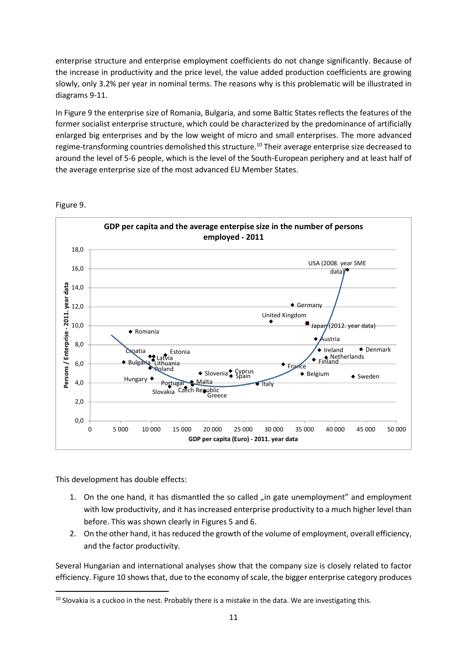enterprise structure and enterprise employment coefficients do not change significantly. Because of the increase in productivity and the price level, the value added production coefficients are growing slowly, only 3.2% per year in nominal terms. The reasons why is this problematic will be illustrated in diagrams 9-11.

In Figure 9 the enterprise size of Romania, Bulgaria, and some Baltic States reflects the features of the former socialist enterprise structure, which could be characterized by the predominance of artificially enlarged big enterprises and by the low weight of micro and small enterprises. The more advanced regime-transforming countries demolished this structure.<sup>10</sup> Their average enterprise size decreased to around the level of 5-6 people, which is the level of the South-European periphery and at least half of the average enterprise size of the most advanced EU Member States.



Figure 9.

This development has double effects:

 $\overline{a}$ 

- 1. On the one hand, it has dismantled the so called "in gate unemployment" and employment with low productivity, and it has increased enterprise productivity to a much higher level than before. This was shown clearly in Figures 5 and 6.
- 2. On the other hand, it has reduced the growth of the volume of employment, overall efficiency, and the factor productivity.

Several Hungarian and international analyses show that the company size is closely related to factor efficiency. Figure 10 shows that, due to the economy of scale, the bigger enterprise category produces

 $10$  Slovakia is a cuckoo in the nest. Probably there is a mistake in the data. We are investigating this.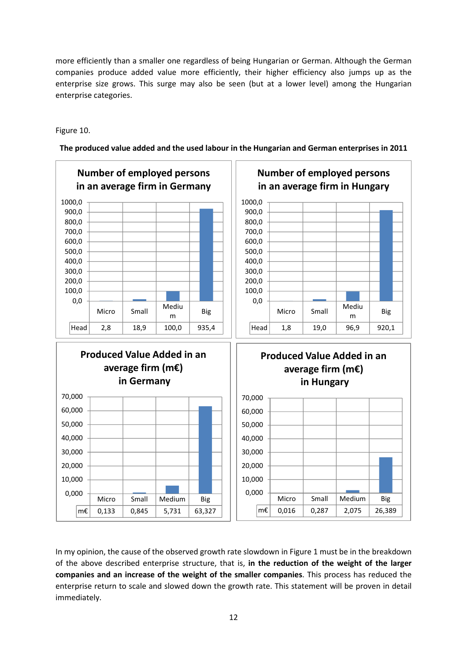more efficiently than a smaller one regardless of being Hungarian or German. Although the German companies produce added value more efficiently, their higher efficiency also jumps up as the enterprise size grows. This surge may also be seen (but at a lower level) among the Hungarian enterprise categories.

Figure 10.



**The produced value added and the used labour in the Hungarian and German enterprises in 2011** 

In my opinion, the cause of the observed growth rate slowdown in Figure 1 must be in the breakdown of the above described enterprise structure, that is, **in the reduction of the weight of the larger companies and an increase of the weight of the smaller companies**. This process has reduced the enterprise return to scale and slowed down the growth rate. This statement will be proven in detail immediately.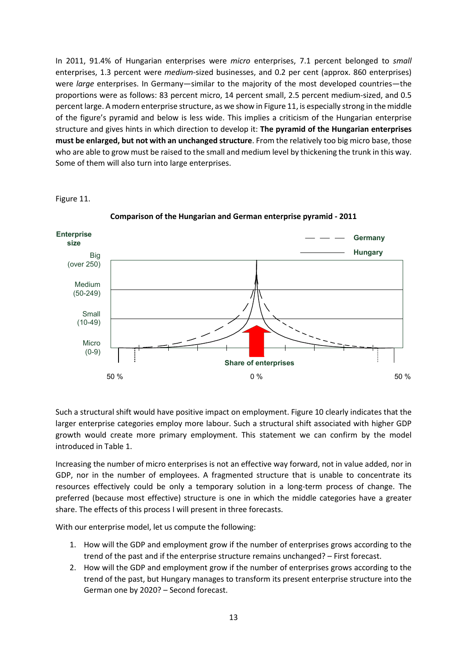In 2011, 91.4% of Hungarian enterprises were *micro* enterprises, 7.1 percent belonged to *small* enterprises, 1.3 percent were *medium*-sized businesses, and 0.2 per cent (approx. 860 enterprises) were *large* enterprises. In Germany—similar to the majority of the most developed countries—the proportions were as follows: 83 percent micro, 14 percent small, 2.5 percent medium-sized, and 0.5 percent large. A modern enterprise structure, as we show in Figure 11, is especially strong in the middle of the figure's pyramid and below is less wide. This implies a criticism of the Hungarian enterprise structure and gives hints in which direction to develop it: **The pyramid of the Hungarian enterprises must be enlarged, but not with an unchanged structure**. From the relatively too big micro base, those who are able to grow must be raised to the small and medium level by thickening the trunk in this way. Some of them will also turn into large enterprises.

Figure 11.



**Comparison of the Hungarian and German enterprise pyramid - 2011** 

Such a structural shift would have positive impact on employment. Figure 10 clearly indicates that the larger enterprise categories employ more labour. Such a structural shift associated with higher GDP growth would create more primary employment. This statement we can confirm by the model introduced in Table 1.

Increasing the number of micro enterprises is not an effective way forward, not in value added, nor in GDP, nor in the number of employees. A fragmented structure that is unable to concentrate its resources effectively could be only a temporary solution in a long-term process of change. The preferred (because most effective) structure is one in which the middle categories have a greater share. The effects of this process I will present in three forecasts.

With our enterprise model, let us compute the following:

- 1. How will the GDP and employment grow if the number of enterprises grows according to the trend of the past and if the enterprise structure remains unchanged? – First forecast.
- 2. How will the GDP and employment grow if the number of enterprises grows according to the trend of the past, but Hungary manages to transform its present enterprise structure into the German one by 2020? – Second forecast.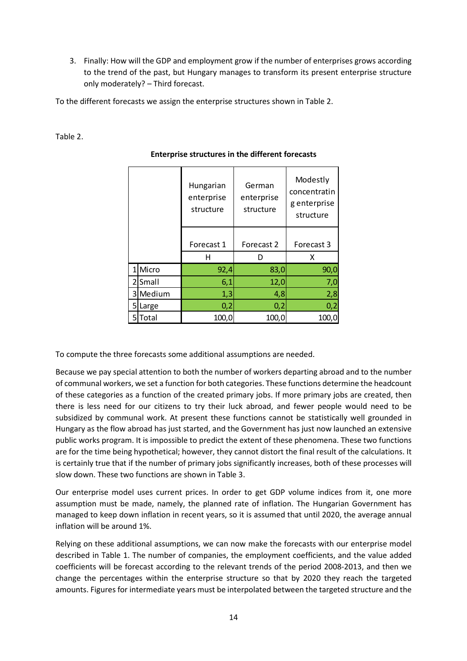3. Finally: How will the GDP and employment grow if the number of enterprises grows according to the trend of the past, but Hungary manages to transform its present enterprise structure only moderately? – Third forecast.

To the different forecasts we assign the enterprise structures shown in Table 2.

# Table 2.

|  |          | Hungarian<br>enterprise<br>structure | German<br>enterprise<br>structure | Modestly<br>concentratin<br>g enterprise<br>structure |  |
|--|----------|--------------------------------------|-----------------------------------|-------------------------------------------------------|--|
|  |          | Forecast 1                           | Forecast 2                        | Forecast 3                                            |  |
|  |          | н                                    |                                   | x                                                     |  |
|  | 1 Micro  | 92,4                                 | 83,0                              | 90,0                                                  |  |
|  | 2Small   | 6,1                                  | 12,0                              | 7,0                                                   |  |
|  | 3 Medium | 1,3                                  | 4,8                               | 2,8                                                   |  |
|  | 5 Large  | 0,2                                  | 0,2                               | 0,2                                                   |  |
|  | 5Total   | 100,0                                | 100,0                             | 100,0                                                 |  |

# **Enterprise structures in the different forecasts**

To compute the three forecasts some additional assumptions are needed.

Because we pay special attention to both the number of workers departing abroad and to the number of communal workers, we set a function for both categories. These functions determine the headcount of these categories as a function of the created primary jobs. If more primary jobs are created, then there is less need for our citizens to try their luck abroad, and fewer people would need to be subsidized by communal work. At present these functions cannot be statistically well grounded in Hungary as the flow abroad has just started, and the Government has just now launched an extensive public works program. It is impossible to predict the extent of these phenomena. These two functions are for the time being hypothetical; however, they cannot distort the final result of the calculations. It is certainly true that if the number of primary jobs significantly increases, both of these processes will slow down. These two functions are shown in Table 3.

Our enterprise model uses current prices. In order to get GDP volume indices from it, one more assumption must be made, namely, the planned rate of inflation. The Hungarian Government has managed to keep down inflation in recent years, so it is assumed that until 2020, the average annual inflation will be around 1%.

Relying on these additional assumptions, we can now make the forecasts with our enterprise model described in Table 1. The number of companies, the employment coefficients, and the value added coefficients will be forecast according to the relevant trends of the period 2008-2013, and then we change the percentages within the enterprise structure so that by 2020 they reach the targeted amounts. Figures for intermediate years must be interpolated between the targeted structure and the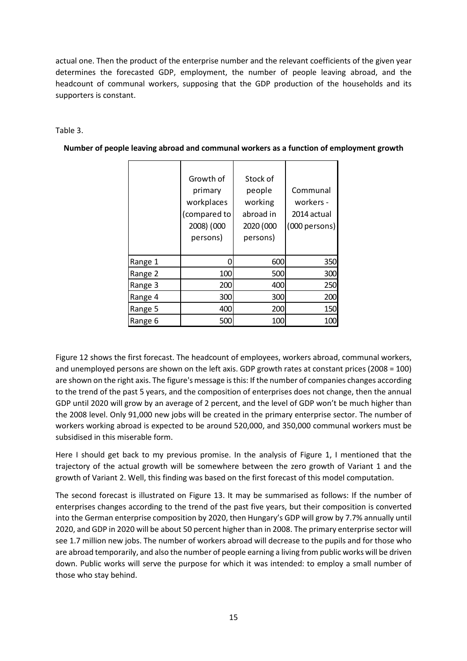actual one. Then the product of the enterprise number and the relevant coefficients of the given year determines the forecasted GDP, employment, the number of people leaving abroad, and the headcount of communal workers, supposing that the GDP production of the households and its supporters is constant.

# Table 3.

|         | Growth of<br>primary<br>workplaces<br>(compared to<br>2008) (000<br>persons) | Stock of<br>people<br>working<br>abroad in<br>2020 (000<br>persons) | Communal<br>workers -<br>2014 actual<br>(000 persons) |
|---------|------------------------------------------------------------------------------|---------------------------------------------------------------------|-------------------------------------------------------|
| Range 1 | 0                                                                            | 600                                                                 | 350                                                   |
| Range 2 | 100                                                                          | 500                                                                 | 300                                                   |
| Range 3 | 200                                                                          | 400                                                                 | 250                                                   |
| Range 4 | 300                                                                          | 300                                                                 | 200                                                   |
| Range 5 | 400                                                                          | 200                                                                 | 150                                                   |
| Range 6 | 500                                                                          | 100                                                                 | 100                                                   |

**Number of people leaving abroad and communal workers as a function of employment growth** 

Figure 12 shows the first forecast. The headcount of employees, workers abroad, communal workers, and unemployed persons are shown on the left axis. GDP growth rates at constant prices (2008 = 100) are shown on the right axis. The figure's message is this: If the number of companies changes according to the trend of the past 5 years, and the composition of enterprises does not change, then the annual GDP until 2020 will grow by an average of 2 percent, and the level of GDP won't be much higher than the 2008 level. Only 91,000 new jobs will be created in the primary enterprise sector. The number of workers working abroad is expected to be around 520,000, and 350,000 communal workers must be subsidised in this miserable form.

Here I should get back to my previous promise. In the analysis of Figure 1, I mentioned that the trajectory of the actual growth will be somewhere between the zero growth of Variant 1 and the growth of Variant 2. Well, this finding was based on the first forecast of this model computation.

The second forecast is illustrated on Figure 13. It may be summarised as follows: If the number of enterprises changes according to the trend of the past five years, but their composition is converted into the German enterprise composition by 2020, then Hungary's GDP will grow by 7.7% annually until 2020, and GDP in 2020 will be about 50 percent higher than in 2008. The primary enterprise sector will see 1.7 million new jobs. The number of workers abroad will decrease to the pupils and for those who are abroad temporarily, and also the number of people earning a living from public works will be driven down. Public works will serve the purpose for which it was intended: to employ a small number of those who stay behind.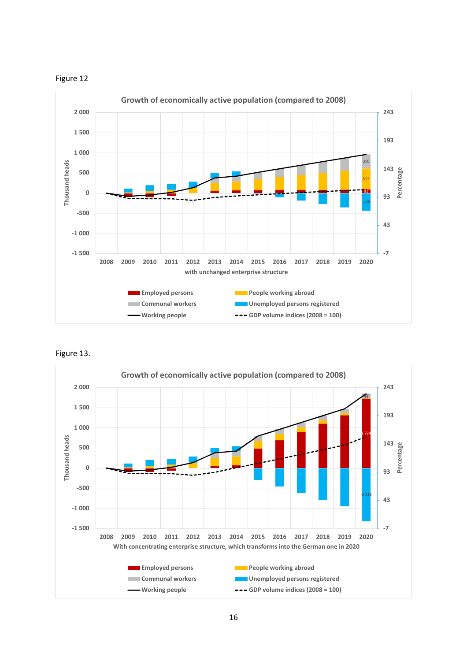



Figure 13.

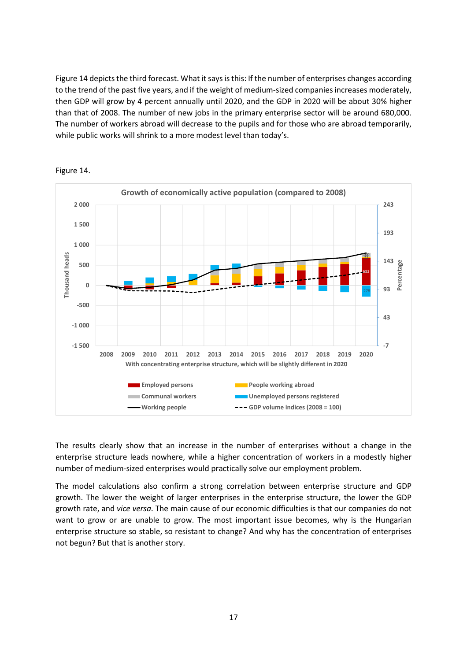Figure 14 depicts the third forecast. What it says is this: If the number of enterprises changes according to the trend of the past five years, and if the weight of medium-sized companies increases moderately, then GDP will grow by 4 percent annually until 2020, and the GDP in 2020 will be about 30% higher than that of 2008. The number of new jobs in the primary enterprise sector will be around 680,000. The number of workers abroad will decrease to the pupils and for those who are abroad temporarily, while public works will shrink to a more modest level than today's.



Figure 14.

The results clearly show that an increase in the number of enterprises without a change in the enterprise structure leads nowhere, while a higher concentration of workers in a modestly higher number of medium-sized enterprises would practically solve our employment problem.

The model calculations also confirm a strong correlation between enterprise structure and GDP growth. The lower the weight of larger enterprises in the enterprise structure, the lower the GDP growth rate, and *vice versa*. The main cause of our economic difficulties is that our companies do not want to grow or are unable to grow. The most important issue becomes, why is the Hungarian enterprise structure so stable, so resistant to change? And why has the concentration of enterprises not begun? But that is another story.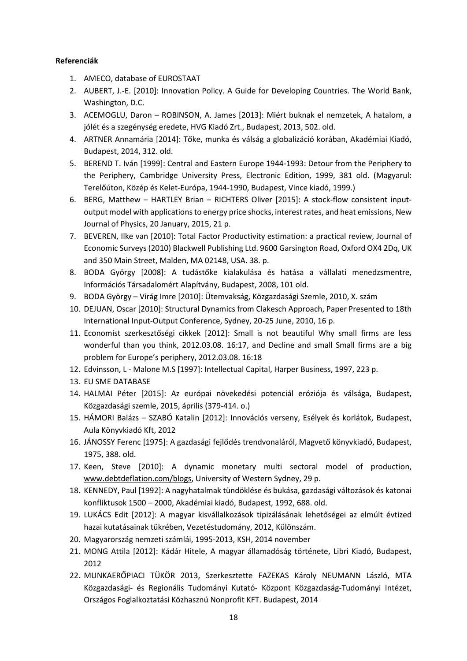# **Referenciák**

- 1. AMECO, database of EUROSTAAT
- 2. AUBERT, J.-E. [2010]: Innovation Policy. A Guide for Developing Countries. The World Bank, Washington, D.C.
- 3. ACEMOGLU, Daron ROBINSON, A. James [2013]: Miért buknak el nemzetek, A hatalom, a jólét és a szegénység eredete, HVG Kiadó Zrt., Budapest, 2013, 502. old.
- 4. ARTNER Annamária [2014]: Tőke, munka és válság a globalizáció korában, Akadémiai Kiadó, Budapest, 2014, 312. old.
- 5. BEREND T. Iván [1999]: Central and Eastern Europe 1944-1993: Detour from the Periphery to the Periphery, Cambridge University Press, Electronic Edition, 1999, 381 old. (Magyarul: Terelőúton, Közép és Kelet-Európa, 1944-1990, Budapest, Vince kiadó, 1999.)
- 6. BERG, Matthew HARTLEY Brian RICHTERS Oliver [2015]: A stock-flow consistent inputoutput model with applications to energy price shocks, interest rates, and heat emissions, New Journal of Physics, 20 January, 2015, 21 p.
- 7. BEVEREN, Ilke van [2010]: Total Factor Productivity estimation: a practical review, Journal of Economic Surveys (2010) Blackwell Publishing Ltd. 9600 Garsington Road, Oxford OX4 2Dq, UK and 350 Main Street, Malden, MA 02148, USA. 38. p.
- 8. BODA György [2008]: A tudástőke kialakulása és hatása a vállalati menedzsmentre, Információs Társadalomért Alapítvány, Budapest, 2008, 101 old.
- 9. BODA György Virág Imre [2010]: Ütemvakság, Közgazdasági Szemle, 2010, X. szám
- 10. DEJUAN, Oscar [2010]: Structural Dynamics from Clakesch Approach, Paper Presented to 18th International Input-Output Conference, Sydney, 20-25 June, 2010, 16 p.
- 11. Economist szerkesztőségi cikkek [2012]: Small is not beautiful Why small firms are less wonderful than you think, 2012.03.08. 16:17, and Decline and small Small firms are a big problem for Europe's periphery, 2012.03.08. 16:18
- 12. Edvinsson, L Malone M.S [1997]: Intellectual Capital, Harper Business, 1997, 223 p.
- 13. EU SME DATABASE
- 14. HALMAI Péter [2015]: Az európai növekedési potenciál eróziója és válsága, Budapest, Közgazdasági szemle, 2015, április (379-414. o.)
- 15. HÁMORI Balázs SZABÓ Katalin [2012]: Innovációs verseny, Esélyek és korlátok, Budapest, Aula Könyvkiadó Kft, 2012
- 16. JÁNOSSY Ferenc [1975]: A gazdasági fejlődés trendvonaláról, Magvető könyvkiadó, Budapest, 1975, 388. old.
- 17. Keen, Steve [2010]: A dynamic monetary multi sectoral model of production, www.debtdeflation.com/blogs, University of Western Sydney, 29 p.
- 18. KENNEDY, Paul [1992]: A nagyhatalmak tündöklése és bukása, gazdasági változások és katonai konfliktusok 1500 – 2000, Akadémiai kiadó, Budapest, 1992, 688. old.
- 19. LUKÁCS Edit [2012]: A magyar kisvállalkozások tipizálásának lehetőségei az elmúlt évtized hazai kutatásainak tükrében, Vezetéstudomány, 2012, Különszám.
- 20. Magyarország nemzeti számlái, 1995-2013, KSH, 2014 november
- 21. MONG Attila [2012]: Kádár Hitele, A magyar államadóság története, Libri Kiadó, Budapest, 2012
- 22. MUNKAERŐPIACI TÜKÖR 2013, Szerkesztette FAZEKAS Károly NEUMANN László, MTA Közgazdasági- és Regionális Tudományi Kutató- Központ Közgazdaság-Tudományi Intézet, Országos Foglalkoztatási Közhasznú Nonprofit KFT. Budapest, 2014